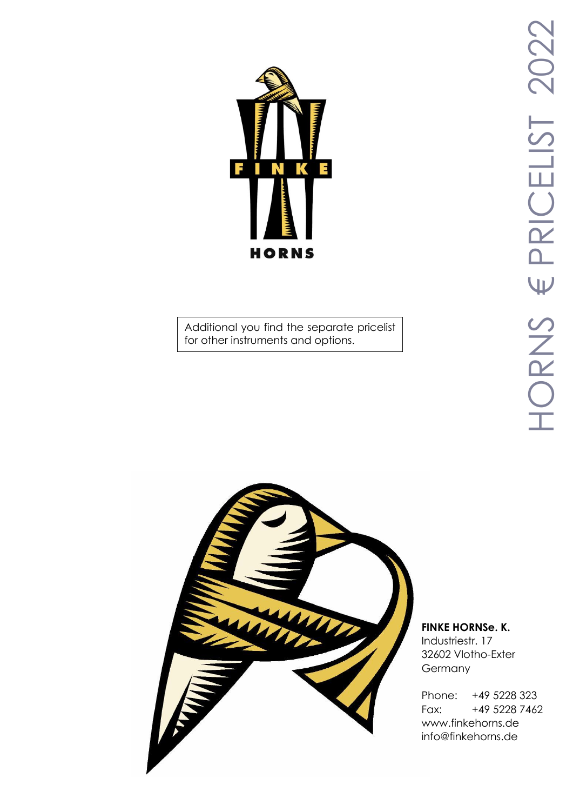

Additional you find the separate pricelist for other instruments and options.



### **FINKE HORNSe. K.**

Industriestr. 17 32602 Vlotho-Exter Germany

Phone: +49 5228 323 Fax: +49 5228 7462 www.finkehorns.de info@finkehorns.de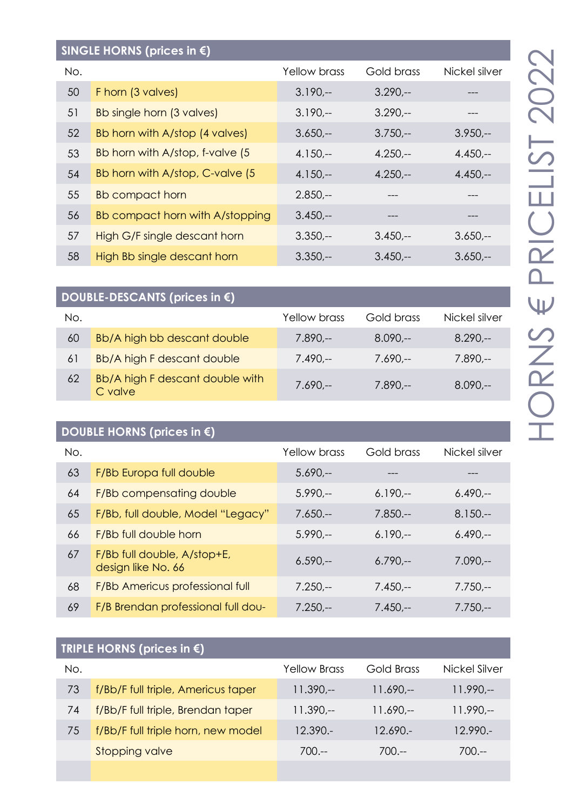| SINGLE HORNS (prices in $\epsilon$ ) |                                  |                     |            |               |  |
|--------------------------------------|----------------------------------|---------------------|------------|---------------|--|
| No.                                  |                                  | <b>Yellow brass</b> | Gold brass | Nickel silver |  |
| 50                                   | F horn (3 valves)                | $3.190 -$           | $3.290 -$  |               |  |
| 51                                   | Bb single horn (3 valves)        | $3.190 -$           | $3.290 -$  |               |  |
| 52                                   | Bb horn with A/stop (4 valves)   | $3.650 -$           | $3.750 -$  | $3.950 -$     |  |
| 53                                   | Bb horn with A/stop, f-valve (5) | $4.150 -$           | $4.250 -$  | $4.450 -$     |  |
| 54                                   | Bb horn with A/stop, C-valve (5) | $4.150 -$           | $4.250 -$  | $4.450 -$     |  |
| 55                                   | <b>Bb compact horn</b>           | $2.850 -$           |            |               |  |
| 56                                   | Bb compact horn with A/stopping  | $3.450 -$           | ---        | ---           |  |
| 57                                   | High G/F single descant horn     | $3.350 -$           | $3.450 -$  | $3.650 -$     |  |
| 58                                   | High Bb single descant horn      | $3.350 -$           | $3.450 -$  | $3.650 -$     |  |

# **DOUBLE-DESCANTS (prices in €)**

| No. |                                            | <b>Yellow brass</b> | Gold brass | Nickel silver |
|-----|--------------------------------------------|---------------------|------------|---------------|
| 60  | Bb/A high bb descant double                | $7.890 -$           | $8.090 -$  | $8.290 -$     |
| 61  | <b>Bb/A high F descant double</b>          | $7.490 -$           | $7.690 -$  | $7.890 -$     |
| 62  | Bb/A high F descant double with<br>C valve | $7.690 -$           | $7.890 -$  | $8.090 -$     |

# **DOUBLE HORNS (prices in €)**

| No. |                                                   | <b>Yellow brass</b> | Gold brass | Nickel silver |
|-----|---------------------------------------------------|---------------------|------------|---------------|
| 63  | F/Bb Europa full double                           | $5.690 -$           |            |               |
| 64  | F/Bb compensating double                          | $5.990 -$           | $6.190 -$  | $6.490 -$     |
| 65  | F/Bb, full double, Model "Legacy"                 | $7.650--$           | $7.850--$  | $8.150 -$     |
| 66  | F/Bb full double horn                             | $5.990 -$           | $6.190 -$  | $6.490 -$     |
| 67  | F/Bb full double, A/stop+E,<br>design like No. 66 | $6.590 -$           | $6.790 -$  | $7.090 -$     |
| 68  | F/Bb Americus professional full                   | $7.250 -$           | $7.450 -$  | $7.750 -$     |
| 69  | F/B Brendan professional full dou-                | $7.250 -$           | $7.450 -$  | $7.750 -$     |

| TRIPLE HORNS (prices in $\epsilon$ ) |                                    |                     |            |               |
|--------------------------------------|------------------------------------|---------------------|------------|---------------|
| No.                                  |                                    | <b>Yellow Brass</b> | Gold Brass | Nickel Silver |
| 73                                   | f/Bb/F full triple, Americus taper | $11.390 -$          | $11.690 -$ | $11.990 -$    |
| 74                                   | f/Bb/F full triple, Brendan taper  | $11.390 -$          | $11.690 -$ | $11.990 -$    |
| 75                                   | f/Bb/F full triple horn, new model | $12.390 -$          | 12.690.-   | $12.990 -$    |
|                                      | Stopping valve                     | $700 --$            | $700 --$   | $700 -$       |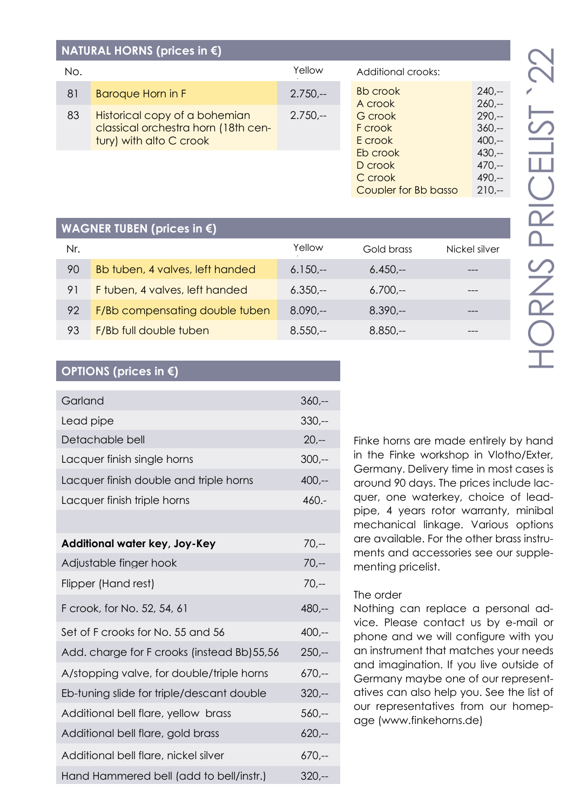#### **NATURAL HORNS (prices in €)**

| No. |                                                                                                 | Yellow    | Additional crooks:             |                                |
|-----|-------------------------------------------------------------------------------------------------|-----------|--------------------------------|--------------------------------|
| 81  | Baroque Horn in F                                                                               | $2.750 -$ | <b>Bb</b> crook<br>A crook     | $240 -$<br>$260 -$             |
| 83  | Historical copy of a bohemian<br>classical orchestra horn (18th cen-<br>tury) with alto C crook | $2.750 -$ | G crook<br>F crook<br>E crook  | $290 -$<br>$360 -$<br>$400, -$ |
|     |                                                                                                 |           | Eb crook<br>D crook<br>C crook | $430 -$<br>$470 -$<br>$490 -$  |

## **WAGNER TUBEN (prices in €)**

| Nr. |                                 | Yellow    | Gold brass | Nickel silver |
|-----|---------------------------------|-----------|------------|---------------|
| 90  | Bb tuben, 4 valves, left handed | $6.150 -$ | $6.450 -$  |               |
| 91  | F tuben, 4 valves, left handed  | $6.350 -$ | $6.700 -$  | ---           |
| 92  | F/Bb compensating double tuben  | $8.090 -$ | $8.390 -$  |               |
| 93  | F/Bb full double tuben          | $8.550 -$ | $8.850 -$  |               |

### **OPTIONS (prices in €)**

| Garland                                     | $360 -$  |
|---------------------------------------------|----------|
| Lead pipe                                   | $330 -$  |
| Detachable bell                             | $20 -$   |
| Lacquer finish single horns                 | $300 -$  |
| Lacquer finish double and triple horns      | $400, -$ |
| Lacquer finish triple horns                 | 460.-    |
|                                             |          |
| Additional water key, Joy-Key               | $70, -$  |
| Adjustable finger hook                      | $70, -$  |
| Flipper (Hand rest)                         | $70, -$  |
| F crook, for No. 52, 54, 61                 | $480 -$  |
| Set of F crooks for No. 55 and 56           | $400, -$ |
| Add. charge for F crooks (instead Bb) 55,56 | $250 -$  |
| A/stopping valve, for double/triple horns   | $670 -$  |
| Eb-tuning slide for triple/descant double   | $320 -$  |
| Additional bell flare, yellow brass         | $560,-$  |
| Additional bell flare, gold brass           | $620 -$  |
| Additional bell flare, nickel silver        | $670 -$  |
| Hand Hammered bell (add to bell/instr.)     | $320 -$  |

Finke horns are made entirely by hand in the Finke workshop in Vlotho/Exter, Germany. Delivery time in most cases is around 90 days. The prices include lacquer, one waterkey, choice of leadpipe, 4 years rotor warranty, minibal mechanical linkage. Various options are available. For the other brass instruments and accessories see our supplementing pricelist.

#### The order

Coupler for Bb basso

Nothing can replace a personal advice. Please contact us by e-mail or phone and we will configure with you an instrument that matches your needs and imagination. If you live outside of Germany maybe one of our representatives can also help you. See the list of our representatives from our homepage (www.finkehorns.de)

 $210 -$